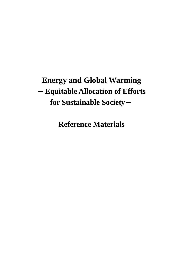## **Energy and Global Warming**  -**Equitable Allocation of Efforts for Sustainable Society**-

**Reference Materials**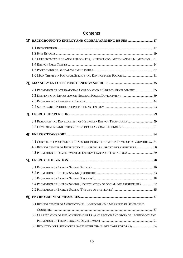| 1              | <b>BACKGROUND TO ENERGY AND GLOBAL WARMING ISSUES 17</b>                                    |
|----------------|---------------------------------------------------------------------------------------------|
|                |                                                                                             |
|                |                                                                                             |
|                | 1.3 CURRENT STATUS OF, AND OUTLOOK FOR, ENERGY CONSUMPTION AND CO <sub>2</sub> EMISSIONS 21 |
|                |                                                                                             |
|                |                                                                                             |
|                |                                                                                             |
| $\overline{2}$ |                                                                                             |
|                | 2.1 PROMOTION OF INTERNATIONAL COORDINATION IN ENERGY DEVELOPMENT35                         |
|                |                                                                                             |
|                |                                                                                             |
|                |                                                                                             |
| 3              |                                                                                             |
|                |                                                                                             |
|                |                                                                                             |
| 4              |                                                                                             |
|                | 4.1 CONSTRUCTION OF ENERGY TRANSPORT INFRASTRUCTURE IN DEVELOPING COUNTRIES 64              |
|                | 4.2 REINFORCEMENT OF INTERNATIONAL ENERGY TRANSPORT INFRASTRUCTURE  66                      |
|                |                                                                                             |
| 5              |                                                                                             |
|                |                                                                                             |
|                |                                                                                             |
|                |                                                                                             |
|                | 5.4 PROMOTION OF ENERGY SAVING (CONSTRUCTION OF SOCIAL INFRASTRUCTURE) 82                   |
|                |                                                                                             |
| 6              |                                                                                             |
|                | 6.1 REINFORCEMENT OF CONVENTIONAL ENVIRONMENTAL MEASURES IN DEVELOPING                      |
|                |                                                                                             |
|                | 6.2 CLARIFICATION OF THE POSITIONING OF $CO2$ COLLECTION AND STORAGE TECHNOLOGY AND         |
|                |                                                                                             |
|                | 6.3 REDUCTION OF GREENHOUSE GASES OTEHR THAN ENERGY-DERIVED CO <sub>2</sub> 94              |

## **Contents**